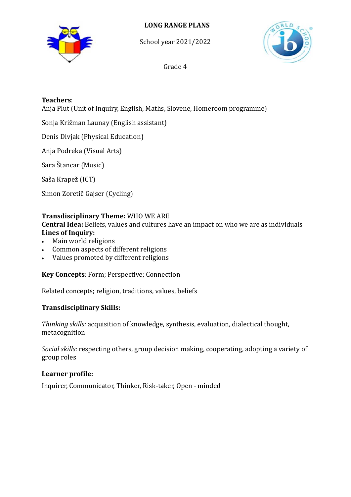



School year 2021/2022



Grade 4

### **Teachers**:

Anja Plut (Unit of Inquiry, English, Maths, Slovene, Homeroom programme)

Sonja Križman Launay (English assistant)

Denis Divjak (Physical Education)

Anja Podreka (Visual Arts)

Sara Štancar (Music)

Saša Krapež (ICT)

Simon Zoretič Gajser (Cycling)

## **Transdisciplinary Theme:** WHO WE ARE

**Central Idea:** Beliefs, values and cultures have an impact on who we are as individuals **Lines of Inquiry:**

- Main world religions
- Common aspects of different religions
- Values promoted by different religions

**Key Concepts**: Form; Perspective; Connection

Related concepts; religion, traditions, values, beliefs

# **Transdisciplinary Skills:**

*Thinking skills:* acquisition of knowledge, synthesis, evaluation, dialectical thought, metacognition

*Social skills:* respecting others, group decision making, cooperating, adopting a variety of group roles

### **Learner profile:**

Inquirer, Communicator, Thinker, Risk-taker, Open - minded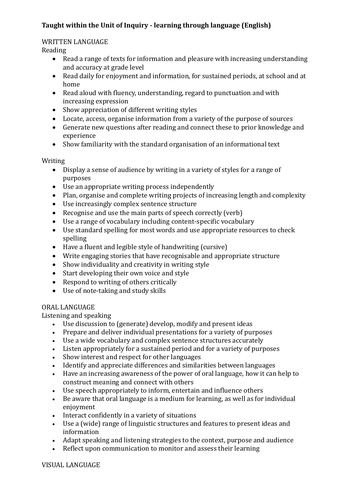# **Taught within the Unit of Inquiry - learning through language (English)**

#### WRITTEN LANGUAGE

Reading

- Read a range of texts for information and pleasure with increasing understanding and accuracy at grade level
- Read daily for enjoyment and information, for sustained periods, at school and at home
- Read aloud with fluency, understanding, regard to punctuation and with increasing expression
- Show appreciation of different writing styles
- Locate, access, organise information from a variety of the purpose of sources
- Generate new questions after reading and connect these to prior knowledge and experience
- Show familiarity with the standard organisation of an informational text

Writing

- Display a sense of audience by writing in a variety of styles for a range of purposes
- Use an appropriate writing process independently
- Plan, organise and complete writing projects of increasing length and complexity
- Use increasingly complex sentence structure
- Recognise and use the main parts of speech correctly (verb)
- Use a range of vocabulary including content-specific vocabulary
- Use standard spelling for most words and use appropriate resources to check spelling
- Have a fluent and legible style of handwriting (cursive)
- Write engaging stories that have recognisable and appropriate structure
- Show individuality and creativity in writing style
- Start developing their own voice and style
- Respond to writing of others critically
- Use of note-taking and study skills

#### ORAL LANGUAGE

Listening and speaking

- Use discussion to (generate) develop, modify and present ideas
- Prepare and deliver individual presentations for a variety of purposes
- Use a wide vocabulary and complex sentence structures accurately
- Listen appropriately for a sustained period and for a variety of purposes
- Show interest and respect for other languages
- Identify and appreciate differences and similarities between languages
- Have an increasing awareness of the power of oral language, how it can help to construct meaning and connect with others
- Use speech appropriately to inform, entertain and influence others
- Be aware that oral language is a medium for learning, as well as for individual enjoyment
- Interact confidently in a variety of situations
- Use a (wide) range of linguistic structures and features to present ideas and information
- Adapt speaking and listening strategies to the context, purpose and audience
- Reflect upon communication to monitor and assess their learning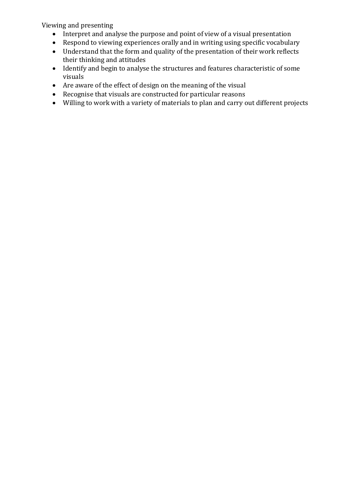Viewing and presenting

- Interpret and analyse the purpose and point of view of a visual presentation
- Respond to viewing experiences orally and in writing using specific vocabulary
- Understand that the form and quality of the presentation of their work reflects their thinking and attitudes
- Identify and begin to analyse the structures and features characteristic of some visuals
- Are aware of the effect of design on the meaning of the visual
- Recognise that visuals are constructed for particular reasons
- Willing to work with a variety of materials to plan and carry out different projects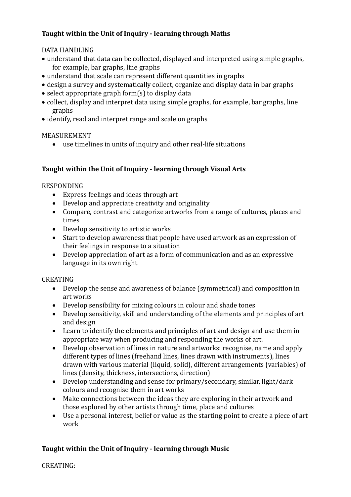# **Taught within the Unit of Inquiry - learning through Maths**

### DATA HANDLING

- understand that data can be collected, displayed and interpreted using simple graphs, for example, bar graphs, line graphs
- understand that scale can represent different quantities in graphs
- design a survey and systematically collect, organize and display data in bar graphs
- $\bullet$  select appropriate graph form(s) to display data
- collect, display and interpret data using simple graphs, for example, bar graphs, line graphs
- identify, read and interpret range and scale on graphs

### MEASUREMENT

use timelines in units of inquiry and other real-life situations

## **Taught within the Unit of Inquiry - learning through Visual Arts**

## RESPONDING

- Express feelings and ideas through art
- Develop and appreciate creativity and originality
- Compare, contrast and categorize artworks from a range of cultures, places and times
- Develop sensitivity to artistic works
- Start to develop awareness that people have used artwork as an expression of their feelings in response to a situation
- Develop appreciation of art as a form of communication and as an expressive language in its own right

### CREATING

- Develop the sense and awareness of balance (symmetrical) and composition in art works
- Develop sensibility for mixing colours in colour and shade tones
- Develop sensitivity, skill and understanding of the elements and principles of art and design
- Learn to identify the elements and principles of art and design and use them in appropriate way when producing and responding the works of art.
- Develop observation of lines in nature and artworks: recognise, name and apply different types of lines (freehand lines, lines drawn with instruments), lines drawn with various material (liquid, solid), different arrangements (variables) of lines (density, thickness, intersections, direction)
- Develop understanding and sense for primary/secondary, similar, light/dark colours and recognise them in art works
- Make connections between the ideas they are exploring in their artwork and those explored by other artists through time, place and cultures
- Use a personal interest, belief or value as the starting point to create a piece of art work

# **Taught within the Unit of Inquiry - learning through Music**

CREATING: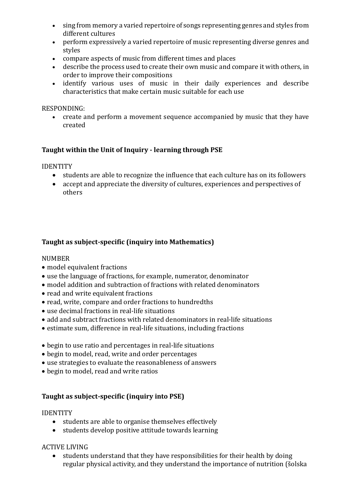- sing from memory a varied repertoire of songs representing genres and styles from different cultures
- perform expressively a varied repertoire of music representing diverse genres and styles
- compare aspects of music from different times and places
- describe the process used to create their own music and compare it with others, in order to improve their compositions
- identify various uses of music in their daily experiences and describe characteristics that make certain music suitable for each use

#### RESPONDING:

 create and perform a movement sequence accompanied by music that they have created

#### **Taught within the Unit of Inquiry - learning through PSE**

IDENTITY

- students are able to recognize the influence that each culture has on its followers
- accept and appreciate the diversity of cultures, experiences and perspectives of others

### **Taught as subject-specific (inquiry into Mathematics)**

#### NUMBER

- model equivalent fractions
- use the language of fractions, for example, numerator, denominator
- model addition and subtraction of fractions with related denominators
- read and write equivalent fractions
- read, write, compare and order fractions to hundredths
- use decimal fractions in real-life situations
- add and subtract fractions with related denominators in real-life situations
- estimate sum, difference in real-life situations, including fractions
- begin to use ratio and percentages in real-life situations
- begin to model, read, write and order percentages
- use strategies to evaluate the reasonableness of answers
- begin to model, read and write ratios

#### **Taught as subject-specific (inquiry into PSE)**

#### IDENTITY

- students are able to organise themselves effectively
- students develop positive attitude towards learning

#### ACTIVE LIVING

 students understand that they have responsibilities for their health by doing regular physical activity, and they understand the importance of nutrition (šolska